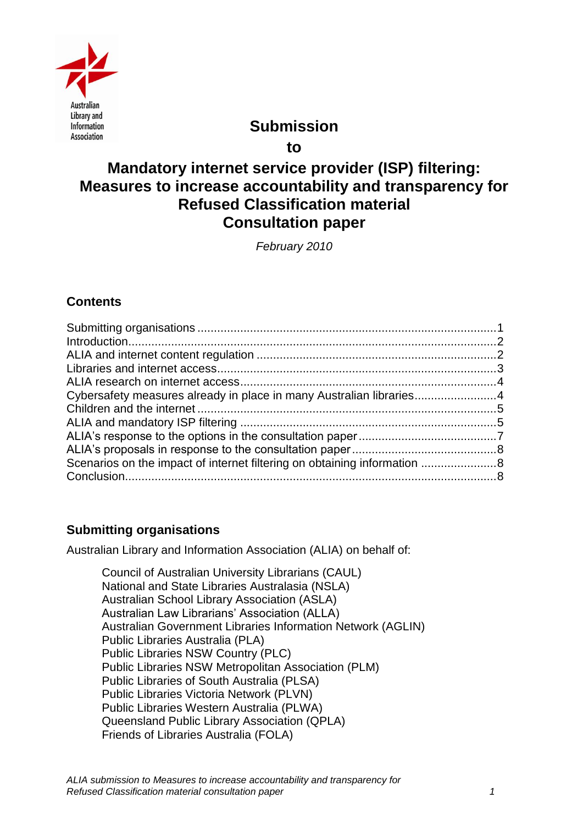

# **Submission**

**to**

# **Mandatory internet service provider (ISP) filtering: Measures to increase accountability and transparency for Refused Classification material Consultation paper**

*February 2010*

# **Contents**

| Cybersafety measures already in place in many Australian libraries4 |  |
|---------------------------------------------------------------------|--|
|                                                                     |  |
|                                                                     |  |
|                                                                     |  |
|                                                                     |  |
|                                                                     |  |
|                                                                     |  |

# <span id="page-0-0"></span>**Submitting organisations**

Australian Library and Information Association (ALIA) on behalf of:

Council of Australian University Librarians (CAUL) National and State Libraries Australasia (NSLA) Australian School Library Association (ASLA) Australian Law Librarians" Association (ALLA) Australian Government Libraries Information Network (AGLIN) Public Libraries Australia (PLA) Public Libraries NSW Country (PLC) Public Libraries NSW Metropolitan Association (PLM) Public Libraries of South Australia (PLSA) Public Libraries Victoria Network (PLVN) Public Libraries Western Australia (PLWA) Queensland Public Library Association (QPLA) Friends of Libraries Australia (FOLA)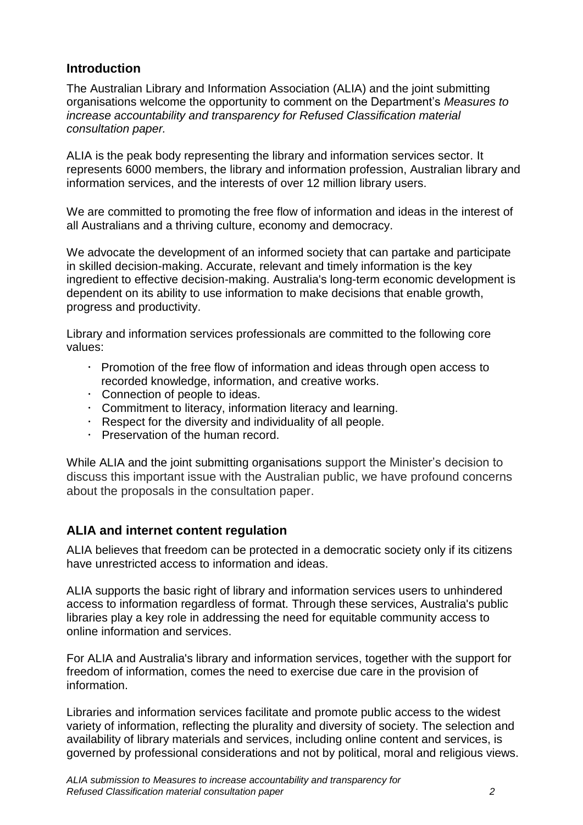## <span id="page-1-0"></span>**Introduction**

The Australian Library and Information Association (ALIA) and the joint submitting organisations welcome the opportunity to comment on the Department"s *Measures to increase accountability and transparency for Refused Classification material consultation paper.*

ALIA is the peak body representing the library and information services sector. It represents 6000 members, the library and information profession, Australian library and information services, and the interests of over 12 million library users.

We are committed to promoting the free flow of information and ideas in the interest of all Australians and a thriving culture, economy and democracy.

We advocate the development of an informed society that can partake and participate in skilled decision-making. Accurate, relevant and timely information is the key ingredient to effective decision-making. Australia's long-term economic development is dependent on its ability to use information to make decisions that enable growth, progress and productivity.

Library and information services professionals are committed to the following core values:

- $\cdot$  Promotion of the free flow of information and ideas through open access to recorded knowledge, information, and creative works.
- Connection of people to ideas.
- Commitment to literacy, information literacy and learning.
- $\cdot$  Respect for the diversity and individuality of all people.
- Preservation of the human record.

While ALIA and the joint submitting organisations support the Minister"s decision to discuss this important issue with the Australian public, we have profound concerns about the proposals in the consultation paper.

## <span id="page-1-1"></span>**ALIA and internet content regulation**

ALIA believes that freedom can be protected in a democratic society only if its citizens have unrestricted access to information and ideas.

ALIA supports the basic right of library and information services users to unhindered access to information regardless of format. Through these services, Australia's public libraries play a key role in addressing the need for equitable community access to online information and services.

For ALIA and Australia's library and information services, together with the support for freedom of information, comes the need to exercise due care in the provision of information.

Libraries and information services facilitate and promote public access to the widest variety of information, reflecting the plurality and diversity of society. The selection and availability of library materials and services, including online content and services, is governed by professional considerations and not by political, moral and religious views.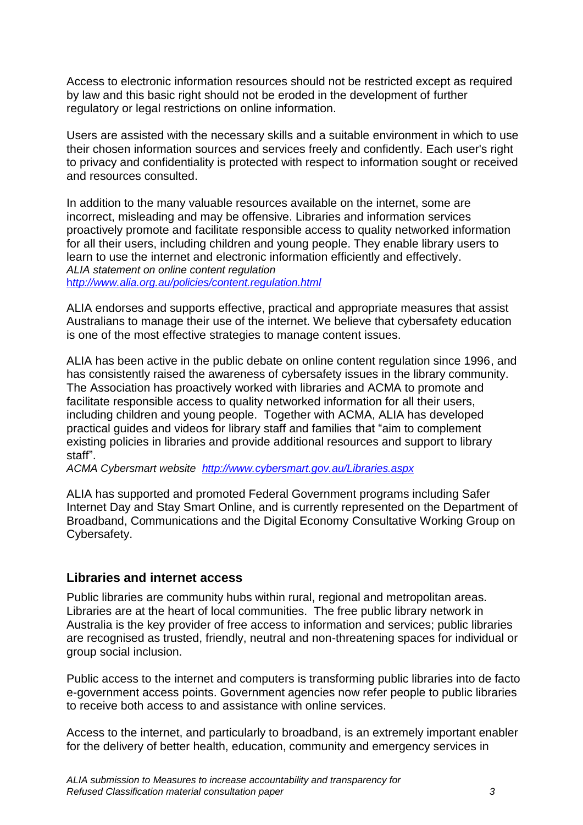Access to electronic information resources should not be restricted except as required by law and this basic right should not be eroded in the development of further regulatory or legal restrictions on online information.

Users are assisted with the necessary skills and a suitable environment in which to use their chosen information sources and services freely and confidently. Each user's right to privacy and confidentiality is protected with respect to information sought or received and resources consulted.

In addition to the many valuable resources available on the internet, some are incorrect, misleading and may be offensive. Libraries and information services proactively promote and facilitate responsible access to quality networked information for all their users, including children and young people. They enable library users to learn to use the internet and electronic information efficiently and effectively. *ALIA statement on online content regulation* h*[ttp://www.alia.org.au/policies/content.regulation.html](http://www.alia.org.au/policies/content.regulation.html)*

ALIA endorses and supports effective, practical and appropriate measures that assist Australians to manage their use of the internet. We believe that cybersafety education is one of the most effective strategies to manage content issues.

ALIA has been active in the public debate on online content regulation since 1996, and has consistently raised the awareness of cybersafety issues in the library community. The Association has proactively worked with libraries and ACMA to promote and facilitate responsible access to quality networked information for all their users, including children and young people. Together with ACMA, ALIA has developed practical guides and videos for library staff and families that "aim to complement existing policies in libraries and provide additional resources and support to library staff".

*ACMA Cybersmart website <http://www.cybersmart.gov.au/Libraries.aspx>*

ALIA has supported and promoted Federal Government programs including Safer Internet Day and Stay Smart Online, and is currently represented on the Department of Broadband, Communications and the Digital Economy Consultative Working Group on Cybersafety.

#### <span id="page-2-0"></span>**Libraries and internet access**

Public libraries are community hubs within rural, regional and metropolitan areas. Libraries are at the heart of local communities. The free public library network in Australia is the key provider of free access to information and services; public libraries are recognised as trusted, friendly, neutral and non-threatening spaces for individual or group social inclusion.

Public access to the internet and computers is transforming public libraries into de facto e-government access points. Government agencies now refer people to public libraries to receive both access to and assistance with online services.

Access to the internet, and particularly to broadband, is an extremely important enabler for the delivery of better health, education, community and emergency services in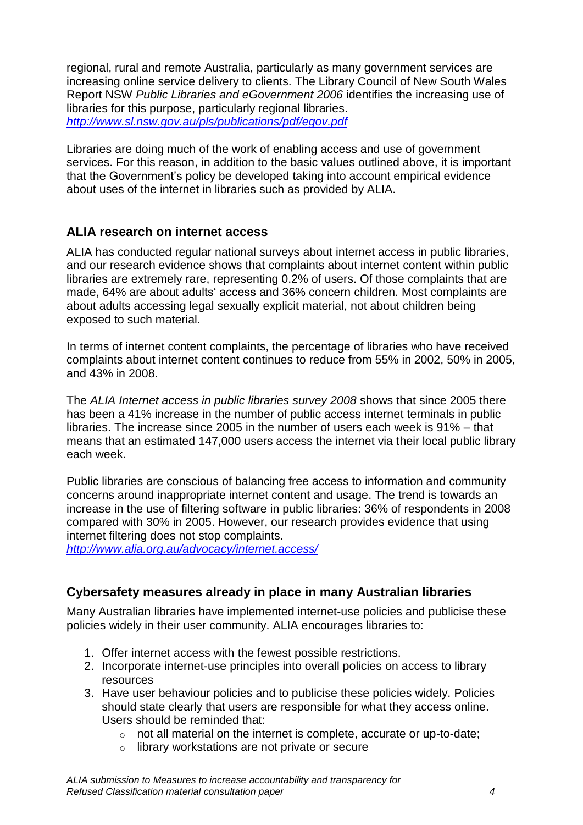regional, rural and remote Australia, particularly as many government services are increasing online service delivery to clients. The Library Council of New South Wales Report NSW *Public Libraries and eGovernment 2006* identifies the increasing use of libraries for this purpose, particularly regional libraries. *<http://www.sl.nsw.gov.au/pls/publications/pdf/egov.pdf>*

Libraries are doing much of the work of enabling access and use of government services. For this reason, in addition to the basic values outlined above, it is important that the Government"s policy be developed taking into account empirical evidence about uses of the internet in libraries such as provided by ALIA.

## <span id="page-3-0"></span>**ALIA research on internet access**

ALIA has conducted regular national surveys about internet access in public libraries, and our research evidence shows that complaints about internet content within public libraries are extremely rare, representing 0.2% of users. Of those complaints that are made, 64% are about adults" access and 36% concern children. Most complaints are about adults accessing legal sexually explicit material, not about children being exposed to such material.

In terms of internet content complaints, the percentage of libraries who have received complaints about internet content continues to reduce from 55% in 2002, 50% in 2005, and 43% in 2008.

The *ALIA Internet access in public libraries survey 2008* shows that since 2005 there has been a 41% increase in the number of public access internet terminals in public libraries. The increase since 2005 in the number of users each week is 91% – that means that an estimated 147,000 users access the internet via their local public library each week.

Public libraries are conscious of balancing free access to information and community concerns around inappropriate internet content and usage. The trend is towards an increase in the use of filtering software in public libraries: 36% of respondents in 2008 compared with 30% in 2005. However, our research provides evidence that using internet filtering does not stop complaints.

*<http://www.alia.org.au/advocacy/internet.access/>*

## <span id="page-3-1"></span>**Cybersafety measures already in place in many Australian libraries**

Many Australian libraries have implemented internet-use policies and publicise these policies widely in their user community. ALIA encourages libraries to:

- 1. Offer internet access with the fewest possible restrictions.
- 2. Incorporate internet-use principles into overall policies on access to library resources
- 3. Have user behaviour policies and to publicise these policies widely. Policies should state clearly that users are responsible for what they access online. Users should be reminded that:
	- o not all material on the internet is complete, accurate or up-to-date;
	- o library workstations are not private or secure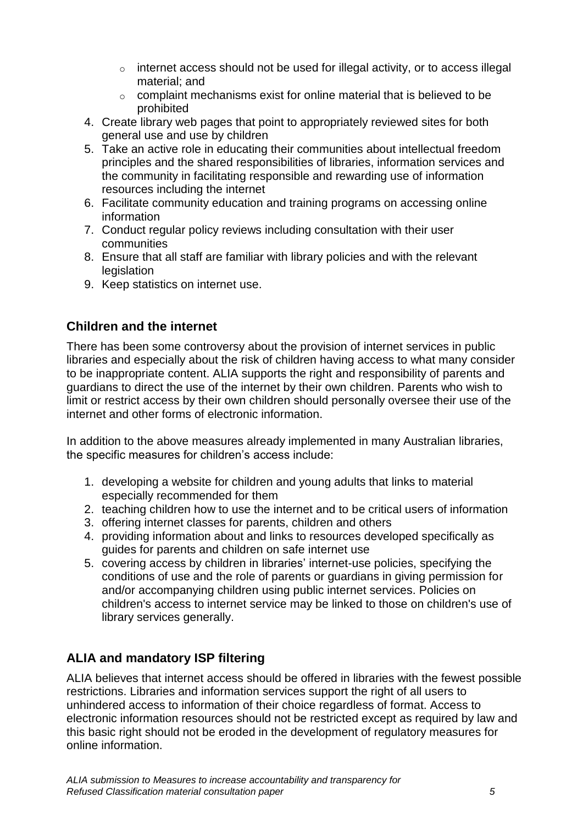- o internet access should not be used for illegal activity, or to access illegal material; and
- $\circ$  complaint mechanisms exist for online material that is believed to be prohibited
- 4. Create library web pages that point to appropriately reviewed sites for both general use and use by children
- 5. Take an active role in educating their communities about intellectual freedom principles and the shared responsibilities of libraries, information services and the community in facilitating responsible and rewarding use of information resources including the internet
- 6. Facilitate community education and training programs on accessing online information
- 7. Conduct regular policy reviews including consultation with their user communities
- 8. Ensure that all staff are familiar with library policies and with the relevant legislation
- 9. Keep statistics on internet use.

# <span id="page-4-0"></span>**Children and the internet**

There has been some controversy about the provision of internet services in public libraries and especially about the risk of children having access to what many consider to be inappropriate content. ALIA supports the right and responsibility of parents and guardians to direct the use of the internet by their own children. Parents who wish to limit or restrict access by their own children should personally oversee their use of the internet and other forms of electronic information.

In addition to the above measures already implemented in many Australian libraries, the specific measures for children's access include:

- 1. developing a website for children and young adults that links to material especially recommended for them
- 2. teaching children how to use the internet and to be critical users of information
- 3. offering internet classes for parents, children and others
- 4. providing information about and links to resources developed specifically as guides for parents and children on safe internet use
- 5. covering access by children in libraries" internet-use policies, specifying the conditions of use and the role of parents or guardians in giving permission for and/or accompanying children using public internet services. Policies on children's access to internet service may be linked to those on children's use of library services generally.

# <span id="page-4-1"></span>**ALIA and mandatory ISP filtering**

ALIA believes that internet access should be offered in libraries with the fewest possible restrictions. Libraries and information services support the right of all users to unhindered access to information of their choice regardless of format. Access to electronic information resources should not be restricted except as required by law and this basic right should not be eroded in the development of regulatory measures for online information.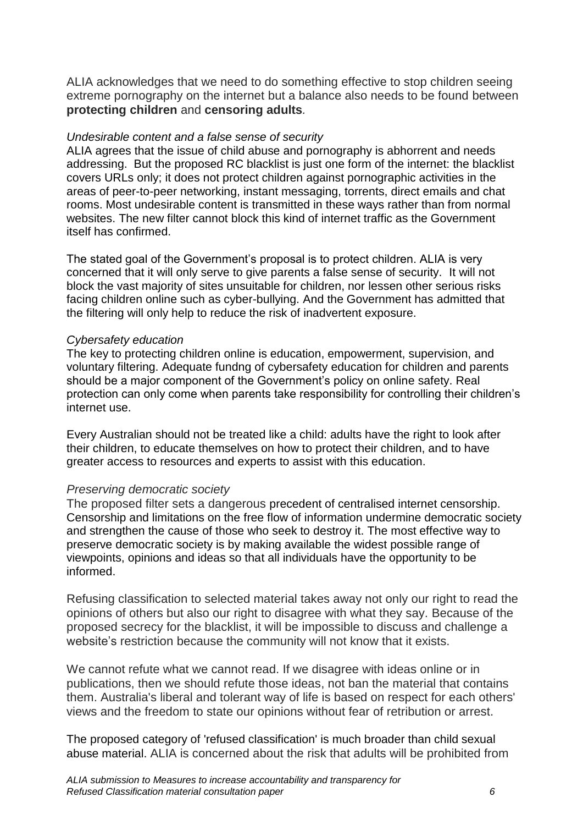ALIA acknowledges that we need to do something effective to stop children seeing extreme pornography on the internet but a balance also needs to be found between **protecting children** and **censoring adults***.*

#### *Undesirable content and a false sense of security*

ALIA agrees that the issue of child abuse and pornography is abhorrent and needs addressing. But the proposed RC blacklist is just one form of the internet: the blacklist covers URLs only; it does not protect children against pornographic activities in the areas of peer-to-peer networking, instant messaging, torrents, direct emails and chat rooms. Most undesirable content is transmitted in these ways rather than from normal websites. The new filter cannot block this kind of internet traffic as the Government itself has confirmed.

The stated goal of the Government"s proposal is to protect children. ALIA is very concerned that it will only serve to give parents a false sense of security. It will not block the vast majority of sites unsuitable for children, nor lessen other serious risks facing children online such as cyber-bullying. And the Government has admitted that the filtering will only help to reduce the risk of inadvertent exposure.

#### *Cybersafety education*

The key to protecting children online is education, empowerment, supervision, and voluntary filtering. Adequate fundng of cybersafety education for children and parents should be a major component of the Government's policy on online safety. Real protection can only come when parents take responsibility for controlling their children"s internet use.

Every Australian should not be treated like a child: adults have the right to look after their children, to educate themselves on how to protect their children, and to have greater access to resources and experts to assist with this education.

#### *Preserving democratic society*

The proposed filter sets a dangerous precedent of centralised internet censorship. Censorship and limitations on the free flow of information undermine democratic society and strengthen the cause of those who seek to destroy it. The most effective way to preserve democratic society is by making available the widest possible range of viewpoints, opinions and ideas so that all individuals have the opportunity to be informed.

Refusing classification to selected material takes away not only our right to read the opinions of others but also our right to disagree with what they say. Because of the proposed secrecy for the blacklist, it will be impossible to discuss and challenge a website's restriction because the community will not know that it exists.

We cannot refute what we cannot read. If we disagree with ideas online or in publications, then we should refute those ideas, not ban the material that contains them. Australia's liberal and tolerant way of life is based on respect for each others' views and the freedom to state our opinions without fear of retribution or arrest.

The proposed category of 'refused classification' is much broader than child sexual abuse material. ALIA is concerned about the risk that adults will be prohibited from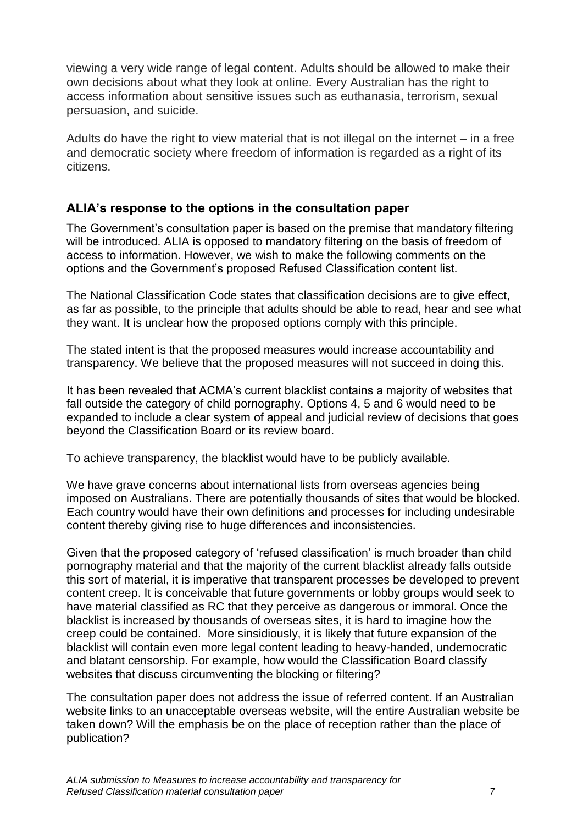viewing a very wide range of legal content. Adults should be allowed to make their own decisions about what they look at online. Every Australian has the right to access information about sensitive issues such as euthanasia, terrorism, sexual persuasion, and suicide.

Adults do have the right to view material that is not illegal on the internet – in a free and democratic society where freedom of information is regarded as a right of its citizens.

### <span id="page-6-0"></span>**ALIA's response to the options in the consultation paper**

The Government"s consultation paper is based on the premise that mandatory filtering will be introduced. ALIA is opposed to mandatory filtering on the basis of freedom of access to information. However, we wish to make the following comments on the options and the Government"s proposed Refused Classification content list.

The National Classification Code states that classification decisions are to give effect, as far as possible, to the principle that adults should be able to read, hear and see what they want. It is unclear how the proposed options comply with this principle.

The stated intent is that the proposed measures would increase accountability and transparency. We believe that the proposed measures will not succeed in doing this.

It has been revealed that ACMA"s current blacklist contains a majority of websites that fall outside the category of child pornography. Options 4, 5 and 6 would need to be expanded to include a clear system of appeal and judicial review of decisions that goes beyond the Classification Board or its review board.

To achieve transparency, the blacklist would have to be publicly available.

We have grave concerns about international lists from overseas agencies being imposed on Australians. There are potentially thousands of sites that would be blocked. Each country would have their own definitions and processes for including undesirable content thereby giving rise to huge differences and inconsistencies.

Given that the proposed category of "refused classification" is much broader than child pornography material and that the majority of the current blacklist already falls outside this sort of material, it is imperative that transparent processes be developed to prevent content creep. It is conceivable that future governments or lobby groups would seek to have material classified as RC that they perceive as dangerous or immoral. Once the blacklist is increased by thousands of overseas sites, it is hard to imagine how the creep could be contained. More sinsidiously, it is likely that future expansion of the blacklist will contain even more legal content leading to heavy-handed, undemocratic and blatant censorship. For example, how would the Classification Board classify websites that discuss circumventing the blocking or filtering?

The consultation paper does not address the issue of referred content. If an Australian website links to an unacceptable overseas website, will the entire Australian website be taken down? Will the emphasis be on the place of reception rather than the place of publication?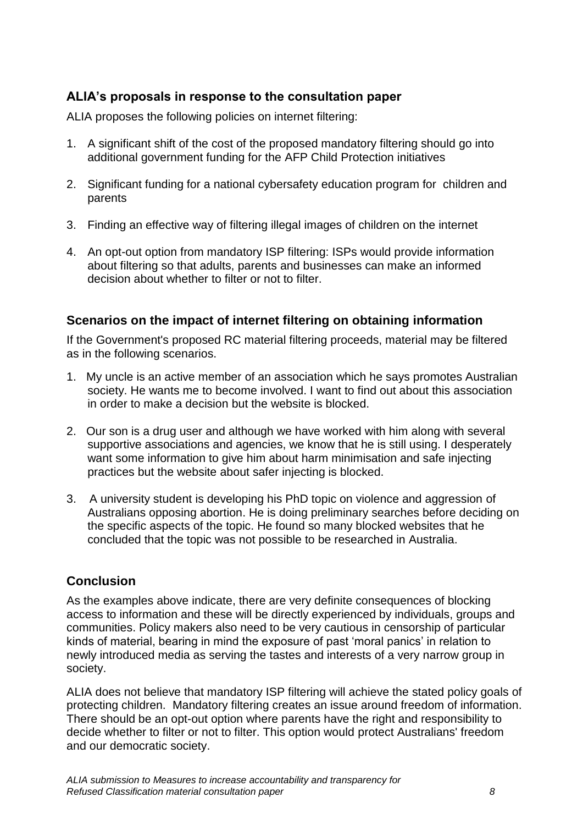# <span id="page-7-0"></span>**ALIA's proposals in response to the consultation paper**

ALIA proposes the following policies on internet filtering:

- 1. A significant shift of the cost of the proposed mandatory filtering should go into additional government funding for the AFP Child Protection initiatives
- 2. Significant funding for a national cybersafety education program for children and parents
- 3. Finding an effective way of filtering illegal images of children on the internet
- 4. An opt-out option from mandatory ISP filtering: ISPs would provide information about filtering so that adults, parents and businesses can make an informed decision about whether to filter or not to filter.

## <span id="page-7-1"></span>**Scenarios on the impact of internet filtering on obtaining information**

If the Government's proposed RC material filtering proceeds, material may be filtered as in the following scenarios.

- 1. My uncle is an active member of an association which he says promotes Australian society. He wants me to become involved. I want to find out about this association in order to make a decision but the website is blocked.
- 2. Our son is a drug user and although we have worked with him along with several supportive associations and agencies, we know that he is still using. I desperately want some information to give him about harm minimisation and safe injecting practices but the website about safer injecting is blocked.
- 3. A university student is developing his PhD topic on violence and aggression of Australians opposing abortion. He is doing preliminary searches before deciding on the specific aspects of the topic. He found so many blocked websites that he concluded that the topic was not possible to be researched in Australia.

## <span id="page-7-2"></span>**Conclusion**

As the examples above indicate, there are very definite consequences of blocking access to information and these will be directly experienced by individuals, groups and communities. Policy makers also need to be very cautious in censorship of particular kinds of material, bearing in mind the exposure of past "moral panics" in relation to newly introduced media as serving the tastes and interests of a very narrow group in society.

ALIA does not believe that mandatory ISP filtering will achieve the stated policy goals of protecting children. Mandatory filtering creates an issue around freedom of information. There should be an opt-out option where parents have the right and responsibility to decide whether to filter or not to filter. This option would protect Australians' freedom and our democratic society.